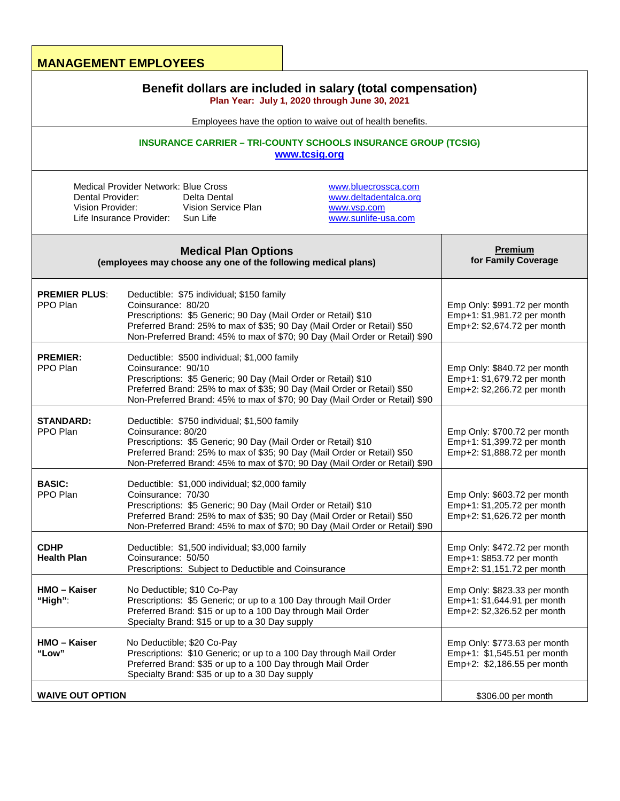|                                                                                                                                                                                                                                                                      | <b>MANAGEMENT EMPLOYEES</b>                                                                                                                                                                                                                                                                      |                                                                                            |  |  |                                                                                              |                                                                                                                                                                                                                  |                                       |
|----------------------------------------------------------------------------------------------------------------------------------------------------------------------------------------------------------------------------------------------------------------------|--------------------------------------------------------------------------------------------------------------------------------------------------------------------------------------------------------------------------------------------------------------------------------------------------|--------------------------------------------------------------------------------------------|--|--|----------------------------------------------------------------------------------------------|------------------------------------------------------------------------------------------------------------------------------------------------------------------------------------------------------------------|---------------------------------------|
| Benefit dollars are included in salary (total compensation)<br>Plan Year: July 1, 2020 through June 30, 2021<br>Employees have the option to waive out of health benefits.<br><b>INSURANCE CARRIER - TRI-COUNTY SCHOOLS INSURANCE GROUP (TCSIG)</b><br>www.tcsig.org |                                                                                                                                                                                                                                                                                                  |                                                                                            |  |  |                                                                                              |                                                                                                                                                                                                                  |                                       |
|                                                                                                                                                                                                                                                                      |                                                                                                                                                                                                                                                                                                  |                                                                                            |  |  | Dental Provider:<br>Vision Provider:                                                         | <b>Medical Provider Network: Blue Cross</b><br>www.bluecrossca.com<br>www.deltadentalca.org<br>Delta Dental<br>Vision Service Plan<br>www.vsp.com<br>www.sunlife-usa.com<br>Life Insurance Provider:<br>Sun Life |                                       |
|                                                                                                                                                                                                                                                                      |                                                                                                                                                                                                                                                                                                  |                                                                                            |  |  | <b>Medical Plan Options</b><br>(employees may choose any one of the following medical plans) |                                                                                                                                                                                                                  | <b>Premium</b><br>for Family Coverage |
| <b>PREMIER PLUS:</b><br>PPO Plan                                                                                                                                                                                                                                     | Deductible: \$75 individual; \$150 family<br>Coinsurance: 80/20<br>Prescriptions: \$5 Generic; 90 Day (Mail Order or Retail) \$10<br>Preferred Brand: 25% to max of \$35; 90 Day (Mail Order or Retail) \$50<br>Non-Preferred Brand: 45% to max of \$70; 90 Day (Mail Order or Retail) \$90      | Emp Only: \$991.72 per month<br>Emp+1: \$1,981.72 per month<br>Emp+2: \$2,674.72 per month |  |  |                                                                                              |                                                                                                                                                                                                                  |                                       |
| <b>PREMIER:</b><br>PPO Plan                                                                                                                                                                                                                                          | Deductible: \$500 individual; \$1,000 family<br>Coinsurance: 90/10<br>Prescriptions: \$5 Generic; 90 Day (Mail Order or Retail) \$10<br>Preferred Brand: 25% to max of \$35; 90 Day (Mail Order or Retail) \$50<br>Non-Preferred Brand: 45% to max of \$70; 90 Day (Mail Order or Retail) \$90   | Emp Only: \$840.72 per month<br>Emp+1: \$1,679.72 per month<br>Emp+2: \$2,266.72 per month |  |  |                                                                                              |                                                                                                                                                                                                                  |                                       |
| <b>STANDARD:</b><br>PPO Plan                                                                                                                                                                                                                                         | Deductible: \$750 individual; \$1,500 family<br>Coinsurance: 80/20<br>Prescriptions: \$5 Generic; 90 Day (Mail Order or Retail) \$10<br>Preferred Brand: 25% to max of \$35; 90 Day (Mail Order or Retail) \$50<br>Non-Preferred Brand: 45% to max of \$70; 90 Day (Mail Order or Retail) \$90   | Emp Only: \$700.72 per month<br>Emp+1: \$1,399.72 per month<br>Emp+2: \$1,888.72 per month |  |  |                                                                                              |                                                                                                                                                                                                                  |                                       |
| <b>BASIC:</b><br>PPO Plan                                                                                                                                                                                                                                            | Deductible: \$1,000 individual; \$2,000 family<br>Coinsurance: 70/30<br>Prescriptions: \$5 Generic; 90 Day (Mail Order or Retail) \$10<br>Preferred Brand: 25% to max of \$35; 90 Day (Mail Order or Retail) \$50<br>Non-Preferred Brand: 45% to max of \$70; 90 Day (Mail Order or Retail) \$90 | Emp Only: \$603.72 per month<br>Emp+1: \$1,205.72 per month<br>Emp+2: \$1,626.72 per month |  |  |                                                                                              |                                                                                                                                                                                                                  |                                       |
| <b>CDHP</b><br><b>Health Plan</b>                                                                                                                                                                                                                                    | Deductible: \$1,500 individual; \$3,000 family<br>Coinsurance: 50/50<br>Prescriptions: Subject to Deductible and Coinsurance                                                                                                                                                                     | Emp Only: \$472.72 per month<br>Emp+1: \$853.72 per month<br>Emp+2: \$1,151.72 per month   |  |  |                                                                                              |                                                                                                                                                                                                                  |                                       |
| HMO - Kaiser<br>"High":                                                                                                                                                                                                                                              | No Deductible; \$10 Co-Pay<br>Prescriptions: \$5 Generic; or up to a 100 Day through Mail Order<br>Preferred Brand: \$15 or up to a 100 Day through Mail Order<br>Specialty Brand: \$15 or up to a 30 Day supply                                                                                 | Emp Only: \$823.33 per month<br>Emp+1: \$1,644.91 per month<br>Emp+2: \$2,326.52 per month |  |  |                                                                                              |                                                                                                                                                                                                                  |                                       |
| HMO – Kaiser<br>"Low"                                                                                                                                                                                                                                                | No Deductible; \$20 Co-Pay<br>Prescriptions: \$10 Generic; or up to a 100 Day through Mail Order<br>Preferred Brand: \$35 or up to a 100 Day through Mail Order<br>Specialty Brand: \$35 or up to a 30 Day supply                                                                                | Emp Only: \$773.63 per month<br>Emp+1: \$1,545.51 per month<br>Emp+2: \$2,186.55 per month |  |  |                                                                                              |                                                                                                                                                                                                                  |                                       |
| <b>WAIVE OUT OPTION</b>                                                                                                                                                                                                                                              |                                                                                                                                                                                                                                                                                                  | \$306.00 per month                                                                         |  |  |                                                                                              |                                                                                                                                                                                                                  |                                       |

Ť.

Г